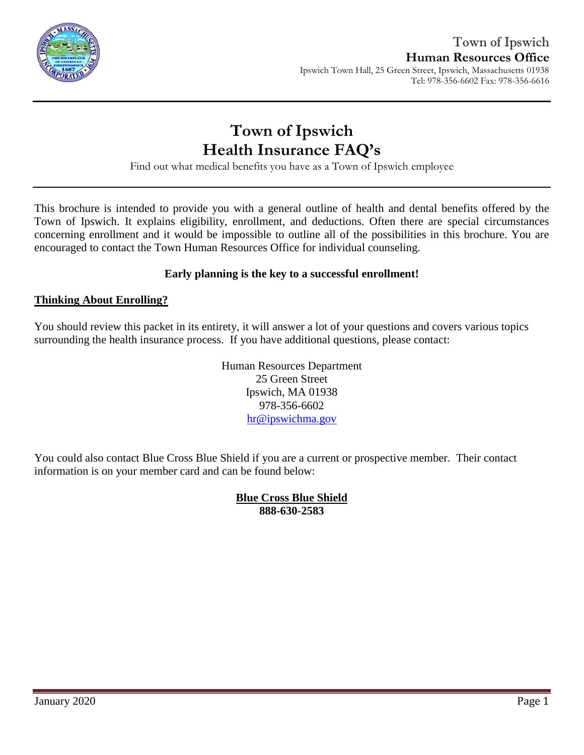

Find out what medical benefits you have as a Town of Ipswich employee

This brochure is intended to provide you with a general outline of health and dental benefits offered by the Town of Ipswich. It explains eligibility, enrollment, and deductions. Often there are special circumstances concerning enrollment and it would be impossible to outline all of the possibilities in this brochure. You are encouraged to contact the Town Human Resources Office for individual counseling.

### **Early planning is the key to a successful enrollment!**

### **Thinking About Enrolling?**

You should review this packet in its entirety, it will answer a lot of your questions and covers various topics surrounding the health insurance process. If you have additional questions, please contact:

> Human Resources Department 25 Green Street Ipswich, MA 01938 978-356-6602 [hr@ipswichma.gov](mailto:hr@ipswichma.gov)

You could also contact Blue Cross Blue Shield if you are a current or prospective member. Their contact information is on your member card and can be found below:

> **Blue Cross Blue Shield 888-630-2583**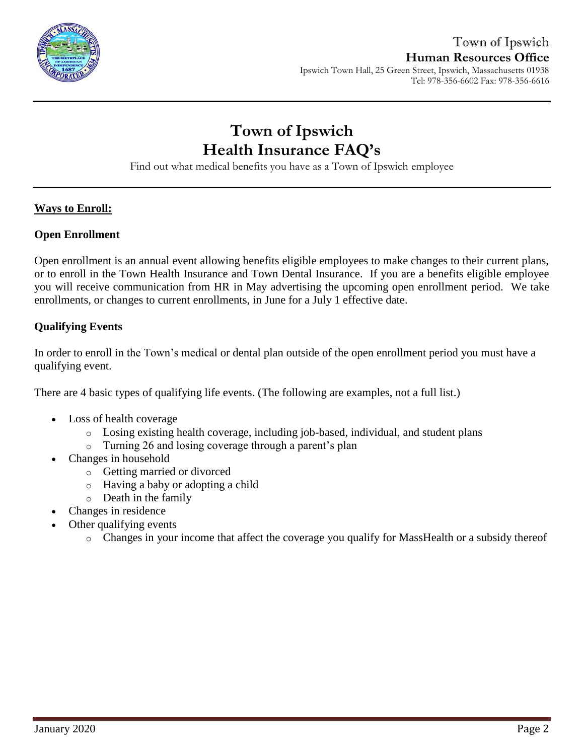

Find out what medical benefits you have as a Town of Ipswich employee

### **Ways to Enroll:**

#### **Open Enrollment**

Open enrollment is an annual event allowing benefits eligible employees to make changes to their current plans, or to enroll in the Town Health Insurance and Town Dental Insurance. If you are a benefits eligible employee you will receive communication from HR in May advertising the upcoming open enrollment period. We take enrollments, or changes to current enrollments, in June for a July 1 effective date.

### **Qualifying Events**

In order to enroll in the Town's medical or dental plan outside of the open enrollment period you must have a qualifying event.

There are 4 basic types of qualifying life events. (The following are examples, not a full list.)

- Loss of health coverage
	- $\circ$  Losing existing health coverage, including job-based, individual, and student plans
	- o Turning 26 and losing coverage through a parent's plan
- Changes in household
	- o Getting married or divorced
	- o Having a baby or adopting a child
	- o Death in the family
- Changes in residence
- Other qualifying events
	- o Changes in your income that affect the coverage you qualify for MassHealth or a subsidy thereof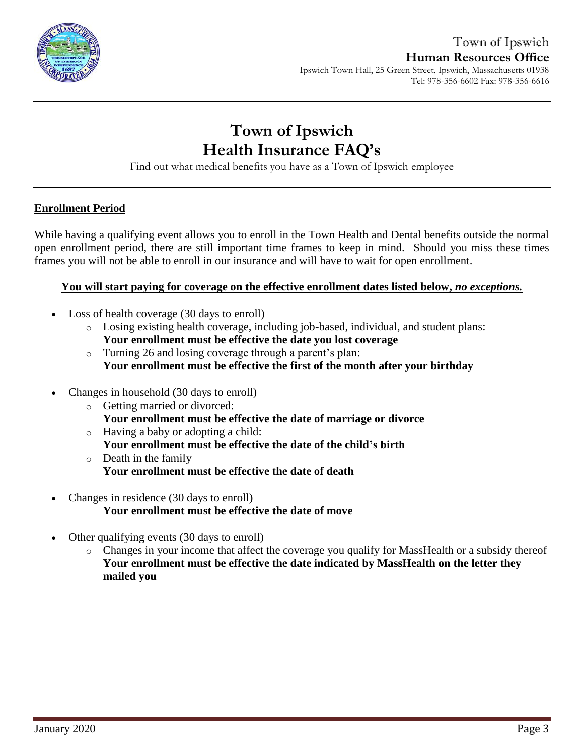

# **Town of Ipswich Health Insurance FAQ's**

Find out what medical benefits you have as a Town of Ipswich employee

### **Enrollment Period**

While having a qualifying event allows you to enroll in the Town Health and Dental benefits outside the normal open enrollment period, there are still important time frames to keep in mind. Should you miss these times frames you will not be able to enroll in our insurance and will have to wait for open enrollment.

### **You will start paying for coverage on the effective enrollment dates listed below,** *no exceptions.*

- Loss of health coverage (30 days to enroll)
	- o Losing existing health coverage, including job-based, individual, and student plans: **Your enrollment must be effective the date you lost coverage**
	- o Turning 26 and losing coverage through a parent's plan: **Your enrollment must be effective the first of the month after your birthday**
- Changes in household (30 days to enroll)
	- o Getting married or divorced: **Your enrollment must be effective the date of marriage or divorce**
	- o Having a baby or adopting a child: **Your enrollment must be effective the date of the child's birth**
	- o Death in the family **Your enrollment must be effective the date of death**
- Changes in residence (30 days to enroll) **Your enrollment must be effective the date of move**
- Other qualifying events (30 days to enroll)
	- o Changes in your income that affect the coverage you qualify for MassHealth or a subsidy thereof **Your enrollment must be effective the date indicated by MassHealth on the letter they mailed you**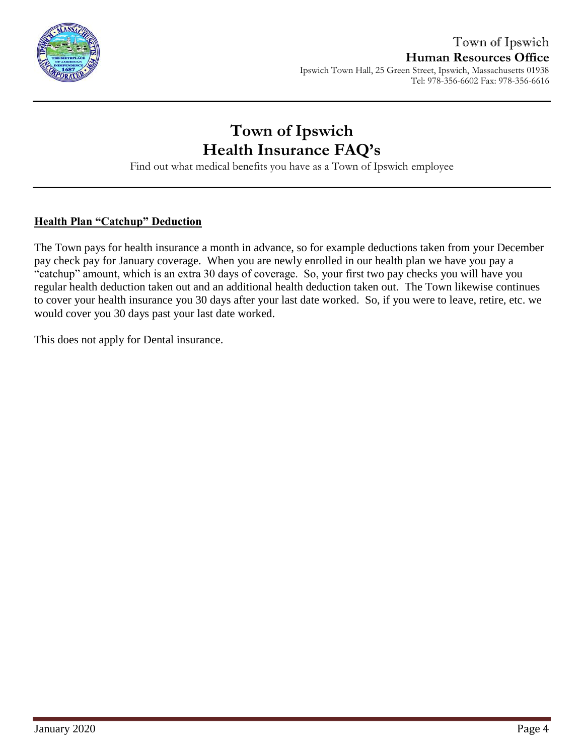

Find out what medical benefits you have as a Town of Ipswich employee

### **Health Plan "Catchup" Deduction**

The Town pays for health insurance a month in advance, so for example deductions taken from your December pay check pay for January coverage. When you are newly enrolled in our health plan we have you pay a "catchup" amount, which is an extra 30 days of coverage. So, your first two pay checks you will have you regular health deduction taken out and an additional health deduction taken out. The Town likewise continues to cover your health insurance you 30 days after your last date worked. So, if you were to leave, retire, etc. we would cover you 30 days past your last date worked.

This does not apply for Dental insurance.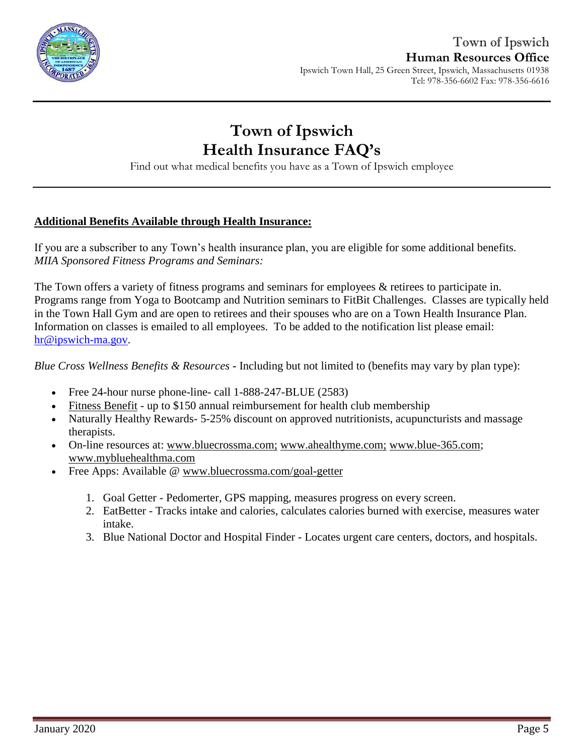

# **Town of Ipswich Health Insurance FAQ's**

Find out what medical benefits you have as a Town of Ipswich employee

### **Additional Benefits Available through Health Insurance:**

If you are a subscriber to any Town's health insurance plan, you are eligible for some additional benefits. *MIIA Sponsored Fitness Programs and Seminars:*

The Town offers a variety of fitness programs and seminars for employees  $\&$  retirees to participate in. Programs range from Yoga to Bootcamp and Nutrition seminars to FitBit Challenges. Classes are typically held in the Town Hall Gym and are open to retirees and their spouses who are on a Town Health Insurance Plan. Information on classes is emailed to all employees. To be added to the notification list please email: [hr@ipswich-ma.gov.](mailto:hr@ipswich-ma.gov)

*Blue Cross Wellness Benefits & Resources* **-** Including but not limited to (benefits may vary by plan type):

- Free 24-hour nurse phone-line- call 1-888-247-BLUE (2583)
- [Fitness Benefit](http://www.emiia.org/images/wellnessflyers/Fitness_Benefit_Form.pdf) up to \$150 annual reimbursement for health club membership
- Naturally Healthy Rewards-5-25% discount on approved nutritionists, acupuncturists and massage therapists.
- On-line resources at: [www.bluecrossma.com](http://www.bluecrossma.com/)[;](http://www.bluecrossma.com;/) [www.ahealthyme.com](http://www.ahealthyme.com/)[;](http://www.emiia.org/) [www.blue-365.com;](https://www.blue-365.com/?planid=bluecrossmacom) [www.mybluehealthma.com](http://www.mybluehealthma.com/)
- Free Apps: Available @ [www.bluecrossma.com/goal-getter](http://www.bluecrossma.com/goal-getter/)
	- 1. Goal Getter Pedomerter, GPS mapping, measures progress on every screen.
	- 2. EatBetter Tracks intake and calories, calculates calories burned with exercise, measures water intake.
	- 3. Blue National Doctor and Hospital Finder Locates urgent care centers, doctors, and hospitals.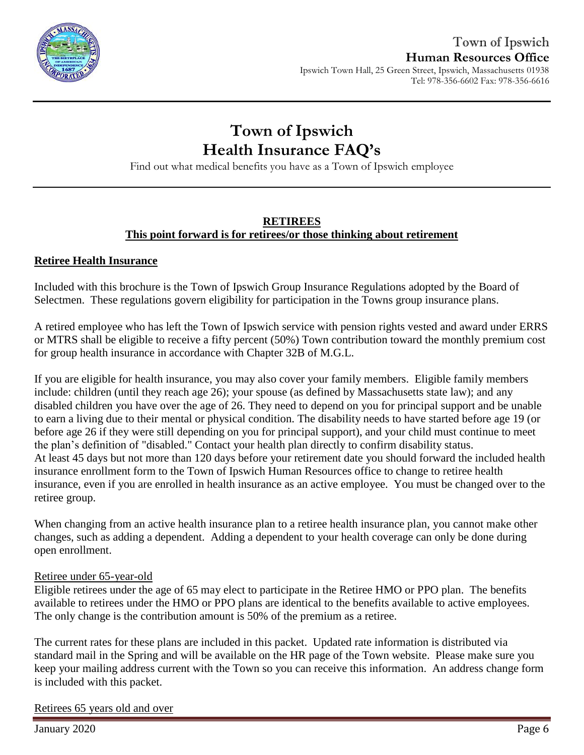

Find out what medical benefits you have as a Town of Ipswich employee

### **RETIREES This point forward is for retirees/or those thinking about retirement**

### **Retiree Health Insurance**

Included with this brochure is the Town of Ipswich Group Insurance Regulations adopted by the Board of Selectmen. These regulations govern eligibility for participation in the Towns group insurance plans.

A retired employee who has left the Town of Ipswich service with pension rights vested and award under ERRS or MTRS shall be eligible to receive a fifty percent (50%) Town contribution toward the monthly premium cost for group health insurance in accordance with Chapter 32B of M.G.L.

If you are eligible for health insurance, you may also cover your family members. Eligible family members include: children (until they reach age 26); your spouse (as defined by Massachusetts state law); and any disabled children you have over the age of 26. They need to depend on you for principal support and be unable to earn a living due to their mental or physical condition. The disability needs to have started before age 19 (or before age 26 if they were still depending on you for principal support), and your child must continue to meet the plan's definition of "disabled." Contact your health plan directly to confirm disability status. At least 45 days but not more than 120 days before your retirement date you should forward the included health insurance enrollment form to the Town of Ipswich Human Resources office to change to retiree health insurance, even if you are enrolled in health insurance as an active employee. You must be changed over to the retiree group.

When changing from an active health insurance plan to a retiree health insurance plan, you cannot make other changes, such as adding a dependent. Adding a dependent to your health coverage can only be done during open enrollment.

### Retiree under 65-year-old

Eligible retirees under the age of 65 may elect to participate in the Retiree HMO or PPO plan. The benefits available to retirees under the HMO or PPO plans are identical to the benefits available to active employees. The only change is the contribution amount is 50% of the premium as a retiree.

The current rates for these plans are included in this packet. Updated rate information is distributed via standard mail in the Spring and will be available on the HR page of the Town website. Please make sure you keep your mailing address current with the Town so you can receive this information. An address change form is included with this packet.

### Retirees 65 years old and over

January 2020 Page 6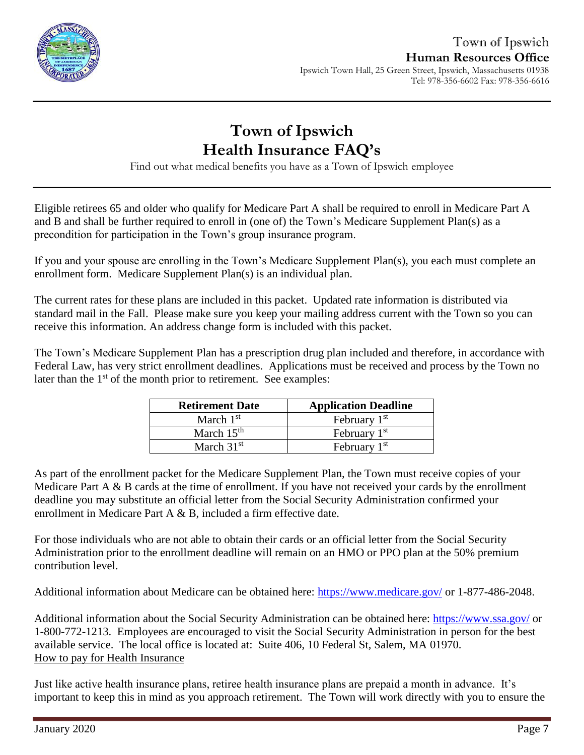

Find out what medical benefits you have as a Town of Ipswich employee

Eligible retirees 65 and older who qualify for Medicare Part A shall be required to enroll in Medicare Part A and B and shall be further required to enroll in (one of) the Town's Medicare Supplement Plan(s) as a precondition for participation in the Town's group insurance program.

If you and your spouse are enrolling in the Town's Medicare Supplement Plan(s), you each must complete an enrollment form. Medicare Supplement Plan(s) is an individual plan.

The current rates for these plans are included in this packet. Updated rate information is distributed via standard mail in the Fall. Please make sure you keep your mailing address current with the Town so you can receive this information. An address change form is included with this packet.

The Town's Medicare Supplement Plan has a prescription drug plan included and therefore, in accordance with Federal Law, has very strict enrollment deadlines. Applications must be received and process by the Town no later than the  $1<sup>st</sup>$  of the month prior to retirement. See examples:

| <b>Retirement Date</b> | <b>Application Deadline</b> |
|------------------------|-----------------------------|
| March $1st$            | February 1 <sup>st</sup>    |
| March $15th$           | February $1st$              |
| March $31st$           | February 1 <sup>st</sup>    |

As part of the enrollment packet for the Medicare Supplement Plan, the Town must receive copies of your Medicare Part A & B cards at the time of enrollment. If you have not received your cards by the enrollment deadline you may substitute an official letter from the Social Security Administration confirmed your enrollment in Medicare Part A & B, included a firm effective date.

For those individuals who are not able to obtain their cards or an official letter from the Social Security Administration prior to the enrollment deadline will remain on an HMO or PPO plan at the 50% premium contribution level.

Additional information about Medicare can be obtained here:<https://www.medicare.gov/> or 1-877-486-2048.

Additional information about the Social Security Administration can be obtained here:<https://www.ssa.gov/> or 1-800-772-1213. Employees are encouraged to visit the Social Security Administration in person for the best available service. The local office is located at: Suite 406, 10 Federal St, Salem, MA 01970. How to pay for Health Insurance

Just like active health insurance plans, retiree health insurance plans are prepaid a month in advance. It's important to keep this in mind as you approach retirement. The Town will work directly with you to ensure the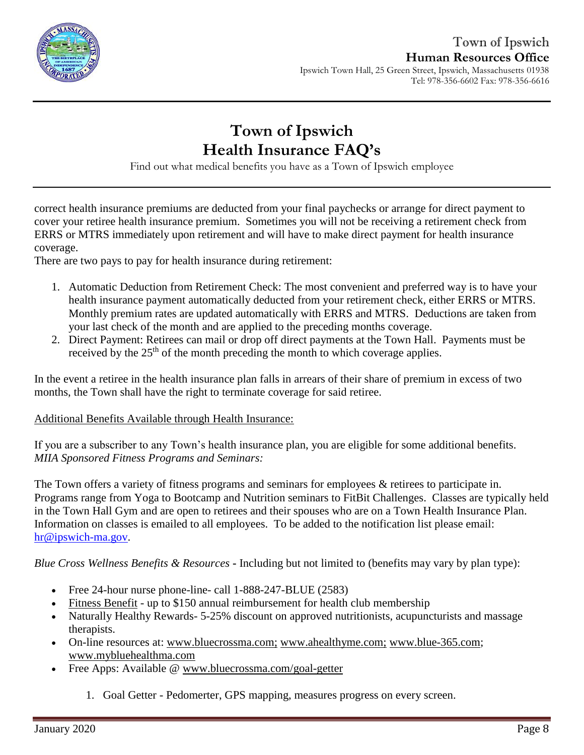

# **Town of Ipswich Health Insurance FAQ's**

Find out what medical benefits you have as a Town of Ipswich employee

correct health insurance premiums are deducted from your final paychecks or arrange for direct payment to cover your retiree health insurance premium. Sometimes you will not be receiving a retirement check from ERRS or MTRS immediately upon retirement and will have to make direct payment for health insurance coverage.

There are two pays to pay for health insurance during retirement:

- 1. Automatic Deduction from Retirement Check: The most convenient and preferred way is to have your health insurance payment automatically deducted from your retirement check, either ERRS or MTRS. Monthly premium rates are updated automatically with ERRS and MTRS. Deductions are taken from your last check of the month and are applied to the preceding months coverage.
- 2. Direct Payment: Retirees can mail or drop off direct payments at the Town Hall. Payments must be received by the  $25<sup>th</sup>$  of the month preceding the month to which coverage applies.

In the event a retiree in the health insurance plan falls in arrears of their share of premium in excess of two months, the Town shall have the right to terminate coverage for said retiree.

### Additional Benefits Available through Health Insurance:

If you are a subscriber to any Town's health insurance plan, you are eligible for some additional benefits. *MIIA Sponsored Fitness Programs and Seminars:*

The Town offers a variety of fitness programs and seminars for employees & retirees to participate in. Programs range from Yoga to Bootcamp and Nutrition seminars to FitBit Challenges. Classes are typically held in the Town Hall Gym and are open to retirees and their spouses who are on a Town Health Insurance Plan. Information on classes is emailed to all employees. To be added to the notification list please email: [hr@ipswich-ma.gov.](mailto:hr@ipswich-ma.gov)

*Blue Cross Wellness Benefits & Resources* **-** Including but not limited to (benefits may vary by plan type):

- Free 24-hour nurse phone-line- call 1-888-247-BLUE (2583)
- [Fitness Benefit](http://www.emiia.org/images/wellnessflyers/Fitness_Benefit_Form.pdf) up to \$150 annual reimbursement for health club membership
- Naturally Healthy Rewards- 5-25% discount on approved nutritionists, acupuncturists and massage therapists.
- On-line resources at: [www.bluecrossma.com](http://www.bluecrossma.com/)[;](http://www.bluecrossma.com;/) [www.ahealthyme.com](http://www.ahealthyme.com/)[;](http://www.emiia.org/) [www.blue-365.com;](https://www.blue-365.com/?planid=bluecrossmacom) [www.mybluehealthma.com](http://www.mybluehealthma.com/)
- Free Apps: Available @ [www.bluecrossma.com/goal-getter](http://www.bluecrossma.com/goal-getter/)
	- 1. Goal Getter Pedomerter, GPS mapping, measures progress on every screen.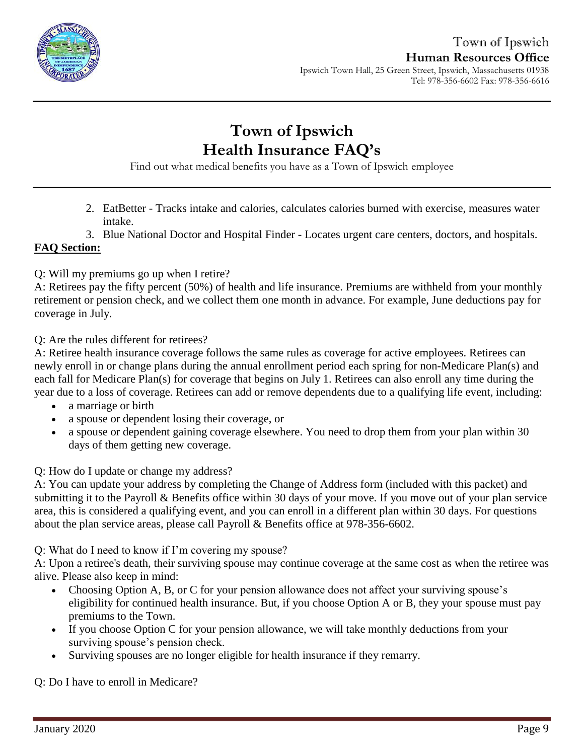

# **Town of Ipswich Health Insurance FAQ's**

Find out what medical benefits you have as a Town of Ipswich employee

- 2. EatBetter Tracks intake and calories, calculates calories burned with exercise, measures water intake.
- 3. Blue National Doctor and Hospital Finder Locates urgent care centers, doctors, and hospitals.

### **FAQ Section:**

Q: Will my premiums go up when I retire?

A: Retirees pay the fifty percent (50%) of health and life insurance. Premiums are withheld from your monthly retirement or pension check, and we collect them one month in advance. For example, June deductions pay for coverage in July.

Q: Are the rules different for retirees?

A: Retiree health insurance coverage follows the same rules as coverage for active employees. Retirees can newly enroll in or change plans during the annual enrollment period each spring for non-Medicare Plan(s) and each fall for Medicare Plan(s) for coverage that begins on July 1. Retirees can also enroll any time during the year due to a loss of coverage. Retirees can add or remove dependents due to a qualifying life event, including:

- a marriage or birth
- a spouse or dependent losing their coverage, or
- a spouse or dependent gaining coverage elsewhere. You need to drop them from your plan within 30 days of them getting new coverage.

Q: How do I update or change my address?

A: You can update your address by completing the Change of Address form (included with this packet) and submitting it to the Payroll & Benefits office within 30 days of your move. If you move out of your plan service area, this is considered a qualifying event, and you can enroll in a different plan within 30 days. For questions about the plan service areas, please call Payroll & Benefits office at 978-356-6602.

Q: What do I need to know if I'm covering my spouse?

A: Upon a retiree's death, their surviving spouse may continue coverage at the same cost as when the retiree was alive. Please also keep in mind:

- Choosing Option A, B, or C for your pension allowance does not affect your surviving spouse's eligibility for continued health insurance. But, if you choose Option A or B, they your spouse must pay premiums to the Town.
- If you choose Option C for your pension allowance, we will take monthly deductions from your surviving spouse's pension check.
- Surviving spouses are no longer eligible for health insurance if they remarry.

Q: Do I have to enroll in Medicare?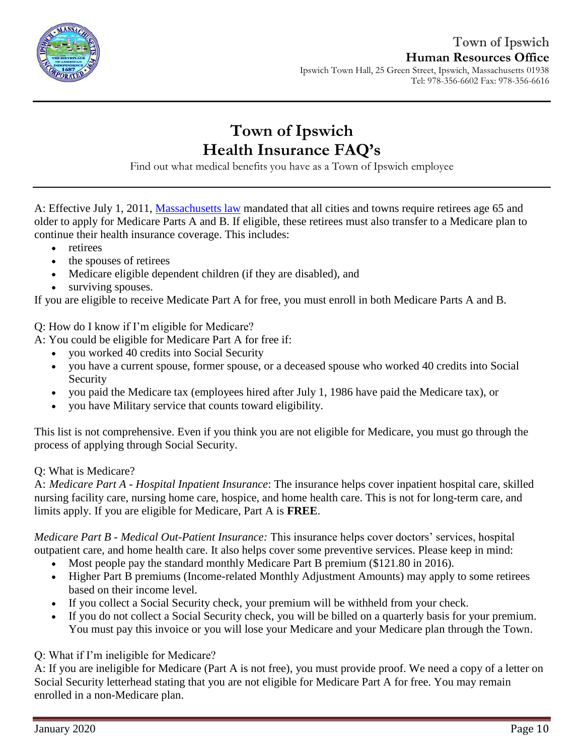

# **Town of Ipswich Health Insurance FAQ's**

Find out what medical benefits you have as a Town of Ipswich employee

A: Effective July 1, 2011, [Massachusetts law](https://malegislature.gov/Laws/SessionLaws/Acts/2011/Chapter69) mandated that all cities and towns require retirees age 65 and older to apply for Medicare Parts A and B. If eligible, these retirees must also transfer to a Medicare plan to continue their health insurance coverage. This includes:

- retirees
- the spouses of retirees
- Medicare eligible dependent children (if they are disabled), and
- surviving spouses.

If you are eligible to receive Medicate Part A for free, you must enroll in both Medicare Parts A and B.

Q: How do I know if I'm eligible for Medicare?

A: You could be eligible for Medicare Part A for free if:

- you worked 40 credits into Social Security
- you have a current spouse, former spouse, or a deceased spouse who worked 40 credits into Social Security
- you paid the Medicare tax (employees hired after July 1, 1986 have paid the Medicare tax), or
- you have Military service that counts toward eligibility.

This list is not comprehensive. Even if you think you are not eligible for Medicare, you must go through the process of applying through Social Security.

### Q: What is Medicare?

A: *Medicare Part A - Hospital Inpatient Insurance*: The insurance helps cover inpatient hospital care, skilled nursing facility care, nursing home care, hospice, and home health care. This is not for long-term care, and limits apply. If you are eligible for Medicare, Part A is **FREE**.

*Medicare Part B - Medical Out-Patient Insurance:* This insurance helps cover doctors' services, hospital outpatient care, and home health care. It also helps cover some preventive services. Please keep in mind:

- Most people pay the standard monthly Medicare Part B premium (\$121.80 in 2016).
- Higher Part B premiums (Income-related Monthly Adjustment Amounts) may apply to some retirees based on their income level.
- If you collect a Social Security check, your premium will be withheld from your check.
- If you do not collect a Social Security check, you will be billed on a quarterly basis for your premium. You must pay this invoice or you will lose your Medicare and your Medicare plan through the Town.

Q: What if I'm ineligible for Medicare?

A: If you are ineligible for Medicare (Part A is not free), you must provide proof. We need a copy of a letter on Social Security letterhead stating that you are not eligible for Medicare Part A for free. You may remain enrolled in a non-Medicare plan.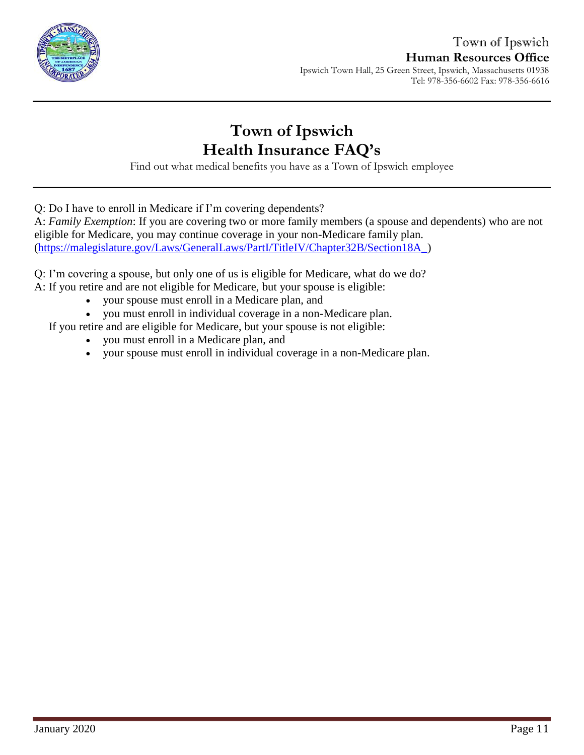

### Town of Ipswich **Human Resources Office** Ipswich Town Hall, 25 Green Street, Ipswich, Massachusetts 01938

Tel: 978-356-6602 Fax: 978-356-6616

## **Town of Ipswich Health Insurance FAQ's**

Find out what medical benefits you have as a Town of Ipswich employee

Q: Do I have to enroll in Medicare if I'm covering dependents?

A: *Family Exemption*: If you are covering two or more family members (a spouse and dependents) who are not eligible for Medicare, you may continue coverage in your non-Medicare family plan. [\(https://malegislature.gov/Laws/GeneralLaws/PartI/TitleIV/Chapter32B/Section18A\\_\)](https://malegislature.gov/Laws/GeneralLaws/PartI/TitleIV/Chapter32B/Section18A_)

Q: I'm covering a spouse, but only one of us is eligible for Medicare, what do we do?

A: If you retire and are not eligible for Medicare, but your spouse is eligible:

- your spouse must enroll in a Medicare plan, and
- you must enroll in individual coverage in a non-Medicare plan.

If you retire and are eligible for Medicare, but your spouse is not eligible:

- you must enroll in a Medicare plan, and
- your spouse must enroll in individual coverage in a non-Medicare plan.